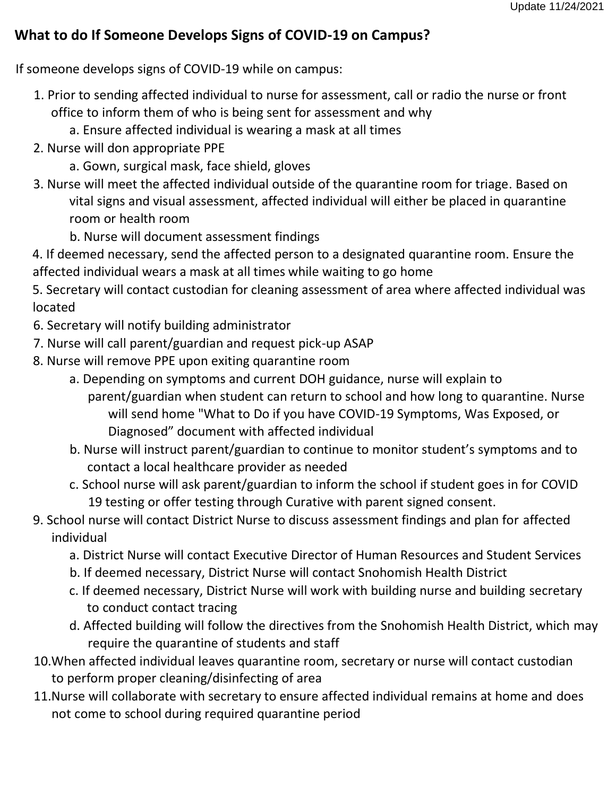## **What to do If Someone Develops Signs of COVID-19 on Campus?**

If someone develops signs of COVID-19 while on campus:

- 1. Prior to sending affected individual to nurse for assessment, call or radio the nurse or front office to inform them of who is being sent for assessment and why
	- a. Ensure affected individual is wearing a mask at all times
- 2. Nurse will don appropriate PPE
	- a. Gown, surgical mask, face shield, gloves
- 3. Nurse will meet the affected individual outside of the quarantine room for triage. Based on vital signs and visual assessment, affected individual will either be placed in quarantine room or health room
	- b. Nurse will document assessment findings

4. If deemed necessary, send the affected person to a designated quarantine room. Ensure the affected individual wears a mask at all times while waiting to go home

5. Secretary will contact custodian for cleaning assessment of area where affected individual was located

- 6. Secretary will notify building administrator
- 7. Nurse will call parent/guardian and request pick-up ASAP
- 8. Nurse will remove PPE upon exiting quarantine room
	- a. Depending on symptoms and current DOH guidance, nurse will explain to
		- parent/guardian when student can return to school and how long to quarantine. Nurse will send home "What to Do if you have COVID-19 Symptoms, Was Exposed, or Diagnosed" document with affected individual
	- b. Nurse will instruct parent/guardian to continue to monitor student's symptoms and to contact a local healthcare provider as needed
	- c. School nurse will ask parent/guardian to inform the school if student goes in for COVID 19 testing or offer testing through Curative with parent signed consent.
- 9. School nurse will contact District Nurse to discuss assessment findings and plan for affected individual
	- a. District Nurse will contact Executive Director of Human Resources and Student Services
	- b. If deemed necessary, District Nurse will contact Snohomish Health District
	- c. If deemed necessary, District Nurse will work with building nurse and building secretary to conduct contact tracing
	- d. Affected building will follow the directives from the Snohomish Health District, which may require the quarantine of students and staff
- 10.When affected individual leaves quarantine room, secretary or nurse will contact custodian to perform proper cleaning/disinfecting of area
- 11.Nurse will collaborate with secretary to ensure affected individual remains at home and does not come to school during required quarantine period